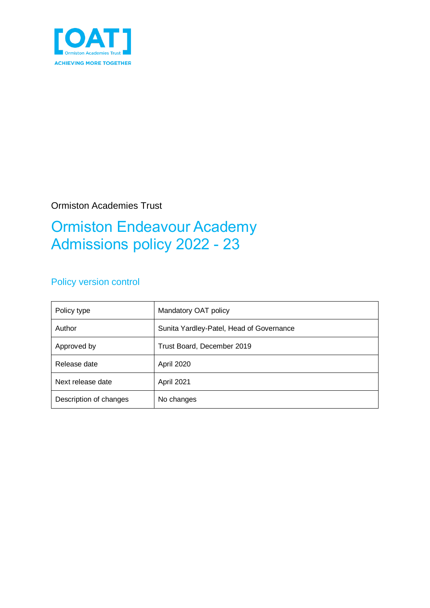

Ormiston Academies Trust

## Ormiston Endeavour Academy Admissions policy 2022 - 23

## Policy version control

| Policy type            | Mandatory OAT policy                     |  |
|------------------------|------------------------------------------|--|
| Author                 | Sunita Yardley-Patel, Head of Governance |  |
| Approved by            | Trust Board, December 2019               |  |
| Release date           | April 2020                               |  |
| Next release date      | April 2021                               |  |
| Description of changes | No changes                               |  |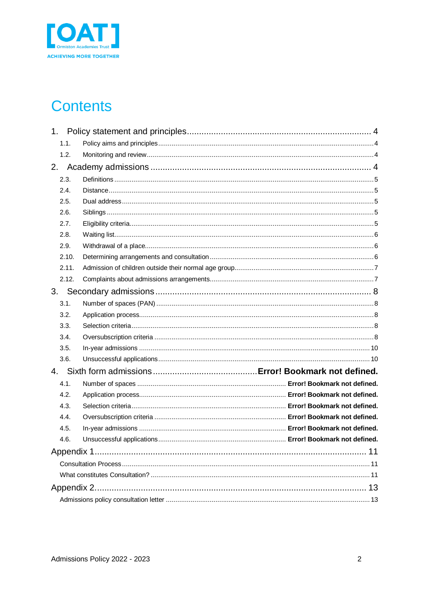

# **Contents**

| 1.    |  |  |
|-------|--|--|
| 1.1.  |  |  |
| 1.2.  |  |  |
| 2.    |  |  |
| 2.3.  |  |  |
| 2.4.  |  |  |
| 2.5.  |  |  |
| 2.6.  |  |  |
| 2.7.  |  |  |
| 2.8.  |  |  |
| 2.9.  |  |  |
| 2.10. |  |  |
| 2.11. |  |  |
| 2.12. |  |  |
| 3.    |  |  |
| 3.1.  |  |  |
| 3.2.  |  |  |
| 3.3.  |  |  |
| 3.4.  |  |  |
| 3.5.  |  |  |
| 3.6.  |  |  |
| 4.    |  |  |
| 4.1.  |  |  |
| 4.2.  |  |  |
| 4.3.  |  |  |
| 4.4.  |  |  |
| 4.5.  |  |  |
| 4.6.  |  |  |
|       |  |  |
|       |  |  |
|       |  |  |
|       |  |  |
|       |  |  |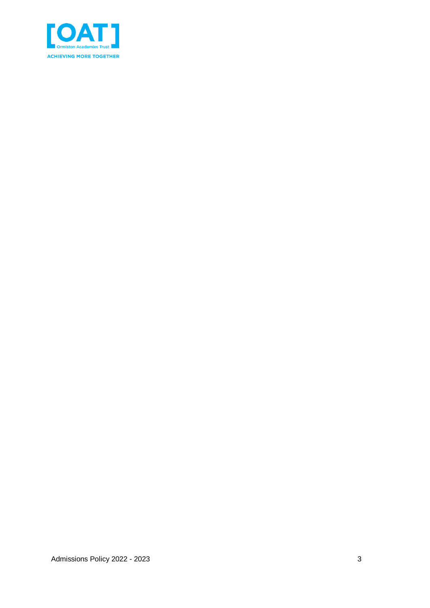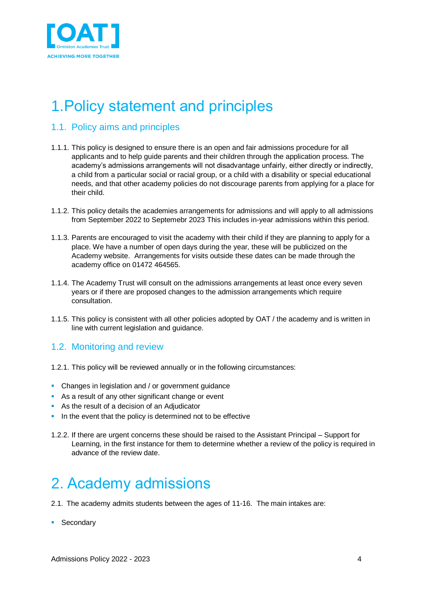

# <span id="page-3-0"></span>1.Policy statement and principles

## <span id="page-3-1"></span>1.1. Policy aims and principles

- 1.1.1. This policy is designed to ensure there is an open and fair admissions procedure for all applicants and to help guide parents and their children through the application process. The academy's admissions arrangements will not disadvantage unfairly, either directly or indirectly, a child from a particular social or racial group, or a child with a disability or special educational needs, and that other academy policies do not discourage parents from applying for a place for their child.
- 1.1.2. This policy details the academies arrangements for admissions and will apply to all admissions from September 2022 to Septemebr 2023 This includes in-year admissions within this period.
- 1.1.3. Parents are encouraged to visit the academy with their child if they are planning to apply for a place. We have a number of open days during the year, these will be publicized on the Academy website. Arrangements for visits outside these dates can be made through the academy office on 01472 464565.
- 1.1.4. The Academy Trust will consult on the admissions arrangements at least once every seven years or if there are proposed changes to the admission arrangements which require consultation.
- 1.1.5. This policy is consistent with all other policies adopted by OAT / the academy and is written in line with current legislation and guidance.

## <span id="page-3-2"></span>1.2. Monitoring and review

- 1.2.1. This policy will be reviewed annually or in the following circumstances:
- Changes in legislation and / or government guidance
- As a result of any other significant change or event
- As the result of a decision of an Adjudicator
- In the event that the policy is determined not to be effective
- 1.2.2. If there are urgent concerns these should be raised to the Assistant Principal Support for Learning, in the first instance for them to determine whether a review of the policy is required in advance of the review date.

# <span id="page-3-3"></span>2. Academy admissions

- 2.1. The academy admits students between the ages of 11-16. The main intakes are:
- **Secondary**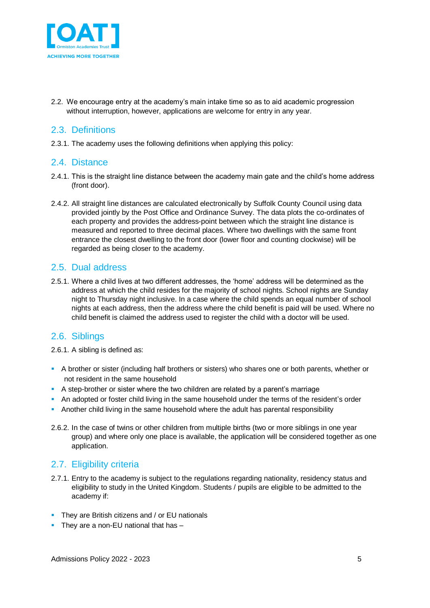

2.2. We encourage entry at the academy's main intake time so as to aid academic progression without interruption, however, applications are welcome for entry in any year.

### <span id="page-4-0"></span>2.3. Definitions

2.3.1. The academy uses the following definitions when applying this policy:

#### <span id="page-4-1"></span>2.4. Distance

- 2.4.1. This is the straight line distance between the academy main gate and the child's home address (front door).
- 2.4.2. All straight line distances are calculated electronically by Suffolk County Council using data provided jointly by the Post Office and Ordinance Survey. The data plots the co-ordinates of each property and provides the address-point between which the straight line distance is measured and reported to three decimal places. Where two dwellings with the same front entrance the closest dwelling to the front door (lower floor and counting clockwise) will be regarded as being closer to the academy.

### <span id="page-4-2"></span>2.5. Dual address

2.5.1. Where a child lives at two different addresses, the 'home' address will be determined as the address at which the child resides for the majority of school nights. School nights are Sunday night to Thursday night inclusive. In a case where the child spends an equal number of school nights at each address, then the address where the child benefit is paid will be used. Where no child benefit is claimed the address used to register the child with a doctor will be used.

### <span id="page-4-3"></span>2.6. Siblings

2.6.1. A sibling is defined as:

- A brother or sister (including half brothers or sisters) who shares one or both parents, whether or not resident in the same household
- A step-brother or sister where the two children are related by a parent's marriage
- An adopted or foster child living in the same household under the terms of the resident's order
- Another child living in the same household where the adult has parental responsibility
- 2.6.2. In the case of twins or other children from multiple births (two or more siblings in one year group) and where only one place is available, the application will be considered together as one application.

### <span id="page-4-4"></span>2.7. Eligibility criteria

- 2.7.1. Entry to the academy is subject to the regulations regarding nationality, residency status and eligibility to study in the United Kingdom. Students / pupils are eligible to be admitted to the academy if:
- **They are British citizens and / or EU nationals**
- They are a non-EU national that has  $-$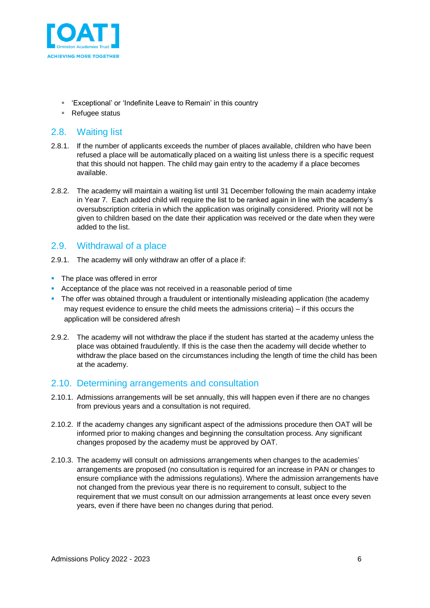

- 'Exceptional' or 'Indefinite Leave to Remain' in this country
- Refugee status

### <span id="page-5-0"></span>2.8. Waiting list

- 2.8.1. If the number of applicants exceeds the number of places available, children who have been refused a place will be automatically placed on a waiting list unless there is a specific request that this should not happen. The child may gain entry to the academy if a place becomes available.
- 2.8.2. The academy will maintain a waiting list until 31 December following the main academy intake in Year 7. Each added child will require the list to be ranked again in line with the academy's oversubscription criteria in which the application was originally considered. Priority will not be given to children based on the date their application was received or the date when they were added to the list.

### <span id="page-5-1"></span>2.9. Withdrawal of a place

- 2.9.1. The academy will only withdraw an offer of a place if:
- The place was offered in error
- Acceptance of the place was not received in a reasonable period of time
- The offer was obtained through a fraudulent or intentionally misleading application (the academy may request evidence to ensure the child meets the admissions criteria) – if this occurs the application will be considered afresh
- 2.9.2. The academy will not withdraw the place if the student has started at the academy unless the place was obtained fraudulently. If this is the case then the academy will decide whether to withdraw the place based on the circumstances including the length of time the child has been at the academy.

### <span id="page-5-2"></span>2.10. Determining arrangements and consultation

- 2.10.1. Admissions arrangements will be set annually, this will happen even if there are no changes from previous years and a consultation is not required.
- 2.10.2. If the academy changes any significant aspect of the admissions procedure then OAT will be informed prior to making changes and beginning the consultation process. Any significant changes proposed by the academy must be approved by OAT.
- 2.10.3. The academy will consult on admissions arrangements when changes to the academies' arrangements are proposed (no consultation is required for an increase in PAN or changes to ensure compliance with the admissions regulations). Where the admission arrangements have not changed from the previous year there is no requirement to consult, subject to the requirement that we must consult on our admission arrangements at least once every seven years, even if there have been no changes during that period.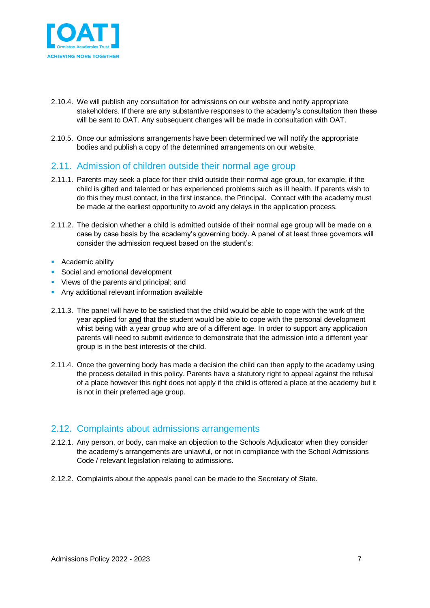

- 2.10.4. We will publish any consultation for admissions on our website and notify appropriate stakeholders. If there are any substantive responses to the academy's consultation then these will be sent to OAT. Any subsequent changes will be made in consultation with OAT.
- 2.10.5. Once our admissions arrangements have been determined we will notify the appropriate bodies and publish a copy of the determined arrangements on our website.

#### <span id="page-6-0"></span>2.11. Admission of children outside their normal age group

- 2.11.1. Parents may seek a place for their child outside their normal age group, for example, if the child is gifted and talented or has experienced problems such as ill health. If parents wish to do this they must contact, in the first instance, the Principal. Contact with the academy must be made at the earliest opportunity to avoid any delays in the application process.
- 2.11.2. The decision whether a child is admitted outside of their normal age group will be made on a case by case basis by the academy's governing body. A panel of at least three governors will consider the admission request based on the student's:
- **Academic ability**
- Social and emotional development
- **Views of the parents and principal; and**
- **Any additional relevant information available**
- 2.11.3. The panel will have to be satisfied that the child would be able to cope with the work of the year applied for **and** that the student would be able to cope with the personal development whist being with a year group who are of a different age. In order to support any application parents will need to submit evidence to demonstrate that the admission into a different year group is in the best interests of the child.
- 2.11.4. Once the governing body has made a decision the child can then apply to the academy using the process detailed in this policy. Parents have a statutory right to appeal against the refusal of a place however this right does not apply if the child is offered a place at the academy but it is not in their preferred age group.

#### <span id="page-6-1"></span>2.12. Complaints about admissions arrangements

- 2.12.1. Any person, or body, can make an objection to the Schools Adjudicator when they consider the academy's arrangements are unlawful, or not in compliance with the School Admissions Code / relevant legislation relating to admissions.
- 2.12.2. Complaints about the appeals panel can be made to the Secretary of State.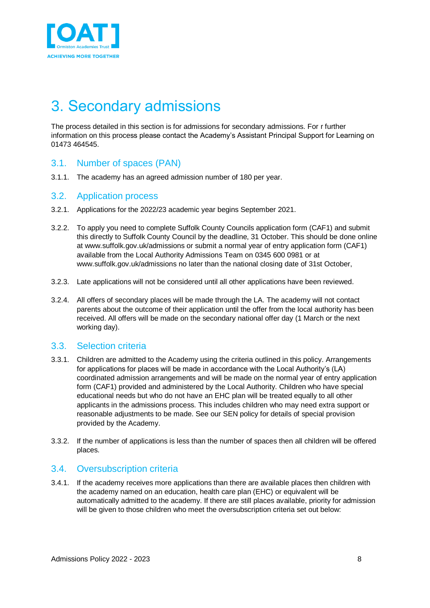

# <span id="page-7-0"></span>3. Secondary admissions

The process detailed in this section is for admissions for secondary admissions. For r further information on this process please contact the Academy's Assistant Principal Support for Learning on 01473 464545.

### <span id="page-7-1"></span>3.1. Number of spaces (PAN)

3.1.1. The academy has an agreed admission number of 180 per year.

#### <span id="page-7-2"></span>3.2. Application process

- 3.2.1. Applications for the 2022/23 academic year begins September 2021.
- 3.2.2. To apply you need to complete Suffolk County Councils application form (CAF1) and submit this directly to Suffolk County Council by the deadline, 31 October. This should be done online at www.suffolk.gov.uk/admissions or submit a normal year of entry application form (CAF1) available from the Local Authority Admissions Team on 0345 600 0981 or at www.suffolk.gov.uk/admissions no later than the national closing date of 31st October,
- 3.2.3. Late applications will not be considered until all other applications have been reviewed.
- 3.2.4. All offers of secondary places will be made through the LA. The academy will not contact parents about the outcome of their application until the offer from the local authority has been received. All offers will be made on the secondary national offer day (1 March or the next working day).

## <span id="page-7-3"></span>3.3. Selection criteria

- 3.3.1. Children are admitted to the Academy using the criteria outlined in this policy. Arrangements for applications for places will be made in accordance with the Local Authority's (LA) coordinated admission arrangements and will be made on the normal year of entry application form (CAF1) provided and administered by the Local Authority. Children who have special educational needs but who do not have an EHC plan will be treated equally to all other applicants in the admissions process. This includes children who may need extra support or reasonable adjustments to be made. See our SEN policy for details of special provision provided by the Academy.
- 3.3.2. If the number of applications is less than the number of spaces then all children will be offered places.

### <span id="page-7-4"></span>3.4. Oversubscription criteria

3.4.1. If the academy receives more applications than there are available places then children with the academy named on an education, health care plan (EHC) or equivalent will be automatically admitted to the academy. If there are still places available, priority for admission will be given to those children who meet the oversubscription criteria set out below: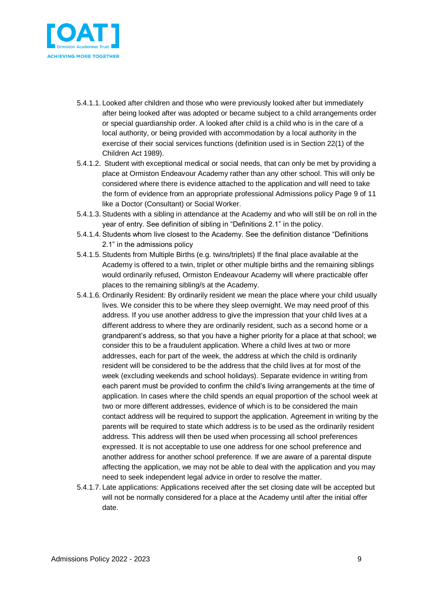

- 5.4.1.1. Looked after children and those who were previously looked after but immediately after being looked after was adopted or became subject to a child arrangements order or special guardianship order. A looked after child is a child who is in the care of a local authority, or being provided with accommodation by a local authority in the exercise of their social services functions (definition used is in Section 22(1) of the Children Act 1989).
- 5.4.1.2. Student with exceptional medical or social needs, that can only be met by providing a place at Ormiston Endeavour Academy rather than any other school. This will only be considered where there is evidence attached to the application and will need to take the form of evidence from an appropriate professional Admissions policy Page 9 of 11 like a Doctor (Consultant) or Social Worker.
- 5.4.1.3. Students with a sibling in attendance at the Academy and who will still be on roll in the year of entry. See definition of sibling in "Definitions 2.1" in the policy.
- 5.4.1.4. Students whom live closest to the Academy. See the definition distance "Definitions 2.1" in the admissions policy
- 5.4.1.5. Students from Multiple Births (e.g. twins/triplets) If the final place available at the Academy is offered to a twin, triplet or other multiple births and the remaining siblings would ordinarily refused, Ormiston Endeavour Academy will where practicable offer places to the remaining sibling/s at the Academy.
- 5.4.1.6. Ordinarily Resident: By ordinarily resident we mean the place where your child usually lives. We consider this to be where they sleep overnight. We may need proof of this address. If you use another address to give the impression that your child lives at a different address to where they are ordinarily resident, such as a second home or a grandparent's address, so that you have a higher priority for a place at that school; we consider this to be a fraudulent application. Where a child lives at two or more addresses, each for part of the week, the address at which the child is ordinarily resident will be considered to be the address that the child lives at for most of the week (excluding weekends and school holidays). Separate evidence in writing from each parent must be provided to confirm the child's living arrangements at the time of application. In cases where the child spends an equal proportion of the school week at two or more different addresses, evidence of which is to be considered the main contact address will be required to support the application. Agreement in writing by the parents will be required to state which address is to be used as the ordinarily resident address. This address will then be used when processing all school preferences expressed. It is not acceptable to use one address for one school preference and another address for another school preference. If we are aware of a parental dispute affecting the application, we may not be able to deal with the application and you may need to seek independent legal advice in order to resolve the matter.
- 5.4.1.7. Late applications: Applications received after the set closing date will be accepted but will not be normally considered for a place at the Academy until after the initial offer date.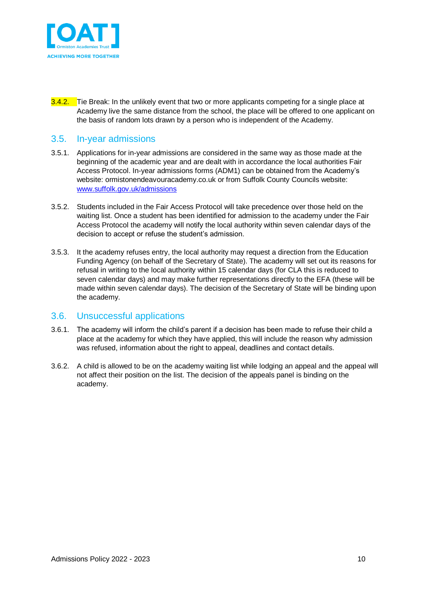

3.4.2. Tie Break: In the unlikely event that two or more applicants competing for a single place at Academy live the same distance from the school, the place will be offered to one applicant on the basis of random lots drawn by a person who is independent of the Academy.

### <span id="page-9-0"></span>3.5. In-year admissions

- 3.5.1. Applications for in-year admissions are considered in the same way as those made at the beginning of the academic year and are dealt with in accordance the local authorities Fair Access Protocol. In-year admissions forms (ADM1) can be obtained from the Academy's website: ormistonendeavouracademy.co.uk or from Suffolk County Councils website: [www.suffolk.gov.uk/admissions](http://www.suffolk.gov.uk/admissions)
- 3.5.2. Students included in the Fair Access Protocol will take precedence over those held on the waiting list. Once a student has been identified for admission to the academy under the Fair Access Protocol the academy will notify the local authority within seven calendar days of the decision to accept or refuse the student's admission.
- 3.5.3. It the academy refuses entry, the local authority may request a direction from the Education Funding Agency (on behalf of the Secretary of State). The academy will set out its reasons for refusal in writing to the local authority within 15 calendar days (for CLA this is reduced to seven calendar days) and may make further representations directly to the EFA (these will be made within seven calendar days). The decision of the Secretary of State will be binding upon the academy.

### <span id="page-9-1"></span>3.6. Unsuccessful applications

- 3.6.1. The academy will inform the child's parent if a decision has been made to refuse their child a place at the academy for which they have applied, this will include the reason why admission was refused, information about the right to appeal, deadlines and contact details.
- 3.6.2. A child is allowed to be on the academy waiting list while lodging an appeal and the appeal will not affect their position on the list. The decision of the appeals panel is binding on the academy.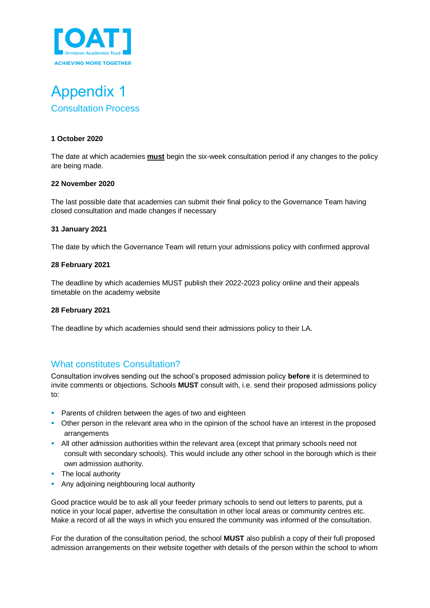

<span id="page-10-1"></span><span id="page-10-0"></span>

#### **1 October 2020**

The date at which academies **must** begin the six-week consultation period if any changes to the policy are being made.

#### **22 November 2020**

The last possible date that academies can submit their final policy to the Governance Team having closed consultation and made changes if necessary

#### **31 January 2021**

The date by which the Governance Team will return your admissions policy with confirmed approval

#### **28 February 2021**

The deadline by which academies MUST publish their 2022-2023 policy online and their appeals timetable on the academy website

#### **28 February 2021**

The deadline by which academies should send their admissions policy to their LA.

## <span id="page-10-2"></span>What constitutes Consultation?

Consultation involves sending out the school's proposed admission policy **before** it is determined to invite comments or objections. Schools **MUST** consult with, i.e. send their proposed admissions policy to:

- **Parents of children between the ages of two and eighteen**
- Other person in the relevant area who in the opinion of the school have an interest in the proposed arrangements
- All other admission authorities within the relevant area (except that primary schools need not consult with secondary schools). This would include any other school in the borough which is their own admission authority.
- The local authority
- **Any adjoining neighbouring local authority**

Good practice would be to ask all your feeder primary schools to send out letters to parents, put a notice in your local paper, advertise the consultation in other local areas or community centres etc. Make a record of all the ways in which you ensured the community was informed of the consultation.

For the duration of the consultation period, the school **MUST** also publish a copy of their full proposed admission arrangements on their website together with details of the person within the school to whom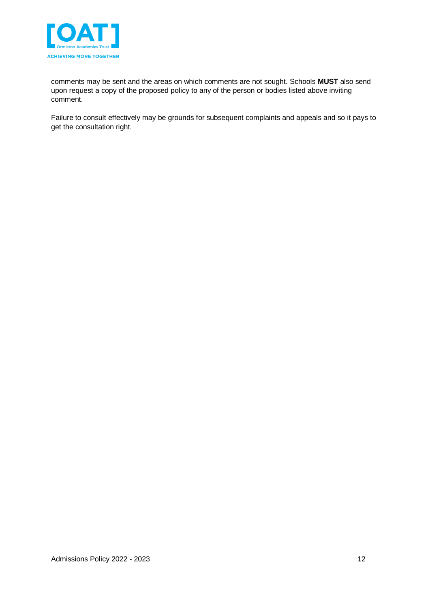

comments may be sent and the areas on which comments are not sought. Schools **MUST** also send upon request a copy of the proposed policy to any of the person or bodies listed above inviting comment.

Failure to consult effectively may be grounds for subsequent complaints and appeals and so it pays to get the consultation right.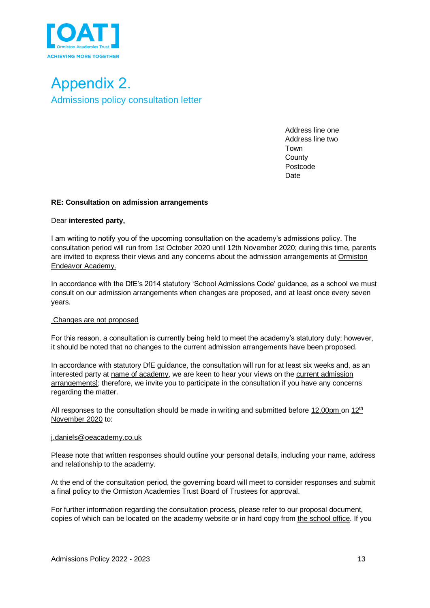

## <span id="page-12-1"></span><span id="page-12-0"></span>Appendix 2. Admissions policy consultation letter

Address line one Address line two Town **County** Postcode Date

#### **RE: Consultation on admission arrangements**

#### Dear **interested party,**

I am writing to notify you of the upcoming consultation on the academy's admissions policy. The consultation period will run from 1st October 2020 until 12th November 2020; during this time, parents are invited to express their views and any concerns about the admission arrangements at Ormiston Endeavor Academy.

In accordance with the DfE's 2014 statutory 'School Admissions Code' guidance, as a school we must consult on our admission arrangements when changes are proposed, and at least once every seven years.

#### Changes are not proposed

For this reason, a consultation is currently being held to meet the academy's statutory duty; however, it should be noted that no changes to the current admission arrangements have been proposed.

In accordance with statutory DfE guidance, the consultation will run for at least six weeks and, as an interested party at name of academy, we are keen to hear your views on the current admission arrangements]; therefore, we invite you to participate in the consultation if you have any concerns regarding the matter.

All responses to the consultation should be made in writing and submitted before 12.00pm on  $12<sup>th</sup>$ November 2020 to:

#### j.daniels@oeacademy.co.uk

Please note that written responses should outline your personal details, including your name, address and relationship to the academy.

At the end of the consultation period, the governing board will meet to consider responses and submit a final policy to the Ormiston Academies Trust Board of Trustees for approval.

For further information regarding the consultation process, please refer to our proposal document, copies of which can be located on the academy website or in hard copy from the school office. If you